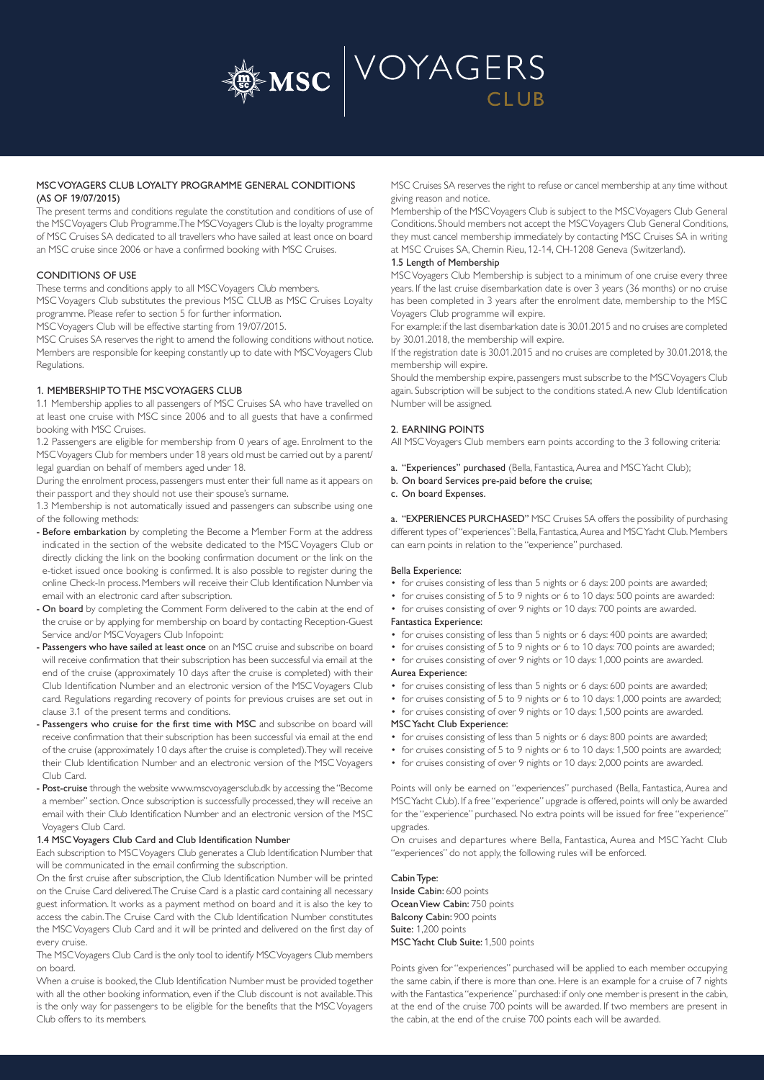

## MSC VOYAGERS CLUB LOYALTY PROGRAMME GENERAL CONDITIONS (AS OF 19/07/2015)

The present terms and conditions regulate the constitution and conditions of use of the MSC Voyagers Club Programme. The MSC Voyagers Club is the loyalty programme of MSC Cruises SA dedicated to all travellers who have sailed at least once on board an MSC cruise since 2006 or have a confirmed booking with MSC Cruises.

## CONDITIONS OF USE

These terms and conditions apply to all MSC Voyagers Club members.

MSC Voyagers Club substitutes the previous MSC CLUB as MSC Cruises Loyalty programme. Please refer to section 5 for further information.

MSC Voyagers Club will be effective starting from 19/07/2015.

MSC Cruises SA reserves the right to amend the following conditions without notice. Members are responsible for keeping constantly up to date with MSC Voyagers Club Regulations.

### 1. MEMBERSHIP TO THE MSC VOYAGERS CLUB

1.1 Membership applies to all passengers of MSC Cruises SA who have travelled on at least one cruise with MSC since 2006 and to all guests that have a confirmed booking with MSC Cruises.

1.2 Passengers are eligible for membership from 0 years of age. Enrolment to the MSC Voyagers Club for members under 18 years old must be carried out by a parent/ legal guardian on behalf of members aged under 18.

During the enrolment process, passengers must enter their full name as it appears on their passport and they should not use their spouse's surname.

1.3 Membership is not automatically issued and passengers can subscribe using one of the following methods:

- Before embarkation by completing the Become a Member Form at the address indicated in the section of the website dedicated to the MSC Voyagers Club or directly clicking the link on the booking confirmation document or the link on the e-ticket issued once booking is confirmed. It is also possible to register during the online Check-In process. Members will receive their Club Identification Number via email with an electronic card after subscription.
- On board by completing the Comment Form delivered to the cabin at the end of the cruise or by applying for membership on board by contacting Reception-Guest Service and/or MSC Voyagers Club Infopoint:
- Passengers who have sailed at least once on an MSC cruise and subscribe on board will receive confirmation that their subscription has been successful via email at the end of the cruise (approximately 10 days after the cruise is completed) with their Club Identification Number and an electronic version of the MSC Voyagers Club card. Regulations regarding recovery of points for previous cruises are set out in clause 3.1 of the present terms and conditions.
- Passengers who cruise for the first time with MSC and subscribe on board will receive confirmation that their subscription has been successful via email at the end of the cruise (approximately 10 days after the cruise is completed). They will receive their Club Identification Number and an electronic version of the MSC Voyagers Club Card.
- Post-cruise through the website www.mscvoyagersclub.dk by accessing the "Become a member" section. Once subscription is successfully processed, they will receive an email with their Club Identification Number and an electronic version of the MSC Voyagers Club Card.

#### 1.4 MSC Voyagers Club Card and Club Identification Number

Each subscription to MSC Voyagers Club generates a Club Identification Number that will be communicated in the email confirming the subscription.

On the first cruise after subscription, the Club Identification Number will be printed on the Cruise Card delivered. The Cruise Card is a plastic card containing all necessary guest information. It works as a payment method on board and it is also the key to access the cabin. The Cruise Card with the Club Identification Number constitutes the MSC Voyagers Club Card and it will be printed and delivered on the first day of every cruise.

The MSC Voyagers Club Card is the only tool to identify MSC Voyagers Club members on board.

When a cruise is booked, the Club Identification Number must be provided together with all the other booking information, even if the Club discount is not available. This is the only way for passengers to be eligible for the benefits that the MSC Voyagers Club offers to its members.

MSC Cruises SA reserves the right to refuse or cancel membership at any time without giving reason and notice.

Membership of the MSC Voyagers Club is subject to the MSC Voyagers Club General Conditions. Should members not accept the MSC Voyagers Club General Conditions, they must cancel membership immediately by contacting MSC Cruises SA in writing at MSC Cruises SA, Chemin Rieu, 12-14, CH-1208 Geneva (Switzerland).

## 1.5 Length of Membership

MSC Voyagers Club Membership is subject to a minimum of one cruise every three years. If the last cruise disembarkation date is over 3 years (36 months) or no cruise has been completed in 3 years after the enrolment date, membership to the MSC Voyagers Club programme will expire.

For example: if the last disembarkation date is 30.01.2015 and no cruises are completed by 30.01.2018, the membership will expire.

If the registration date is 30.01.2015 and no cruises are completed by 30.01.2018, the membership will expire.

Should the membership expire, passengers must subscribe to the MSC Voyagers Club again. Subscription will be subject to the conditions stated. A new Club Identification Number will be assigned.

### 2. EARNING POINTS

All MSC Voyagers Club members earn points according to the 3 following criteria:

- a. "Experiences" purchased (Bella, Fantastica, Aurea and MSC Yacht Club);
- b. On board Services pre-paid before the cruise;

## c. On board Expenses.

a. "EXPERIENCES PURCHASED" MSC Cruises SA offers the possibility of purchasing different types of "experiences": Bella, Fantastica, Aurea and MSC Yacht Club. Members can earn points in relation to the "experience" purchased.

#### Bella Experience:

- for cruises consisting of less than 5 nights or 6 days: 200 points are awarded;
- for cruises consisting of 5 to 9 nights or 6 to 10 days: 500 points are awarded:
- for cruises consisting of over 9 nights or 10 days: 700 points are awarded. Fantastica Experience:
- for cruises consisting of less than 5 nights or 6 days: 400 points are awarded;
- for cruises consisting of 5 to 9 nights or 6 to 10 days: 700 points are awarded;
- for cruises consisting of over 9 nights or 10 days: 1,000 points are awarded. Aurea Experience:

- for cruises consisting of less than 5 nights or 6 days: 600 points are awarded;
- for cruises consisting of 5 to 9 nights or 6 to 10 days: 1,000 points are awarded;
- for cruises consisting of over 9 nights or 10 days: 1,500 points are awarded.

## MSC Yacht Club Experience:

- for cruises consisting of less than 5 nights or 6 days: 800 points are awarded;
- for cruises consisting of 5 to 9 nights or 6 to 10 days: 1,500 points are awarded;
- for cruises consisting of over 9 nights or 10 days: 2,000 points are awarded.

Points will only be earned on "experiences" purchased (Bella, Fantastica, Aurea and MSC Yacht Club). If a free "experience" upgrade is offered, points will only be awarded for the "experience" purchased. No extra points will be issued for free "experience" upgrades.

On cruises and departures where Bella, Fantastica, Aurea and MSC Yacht Club "experiences" do not apply, the following rules will be enforced.

#### Cabin Type: Inside Cabin: 600 points Ocean View Cabin: 750 points Balcony Cabin: 900 points Suite: 1,200 points

MSC Yacht Club Suite: 1,500 points

Points given for "experiences" purchased will be applied to each member occupying the same cabin, if there is more than one. Here is an example for a cruise of 7 nights with the Fantastica "experience" purchased: if only one member is present in the cabin, at the end of the cruise 700 points will be awarded. If two members are present in the cabin, at the end of the cruise 700 points each will be awarded.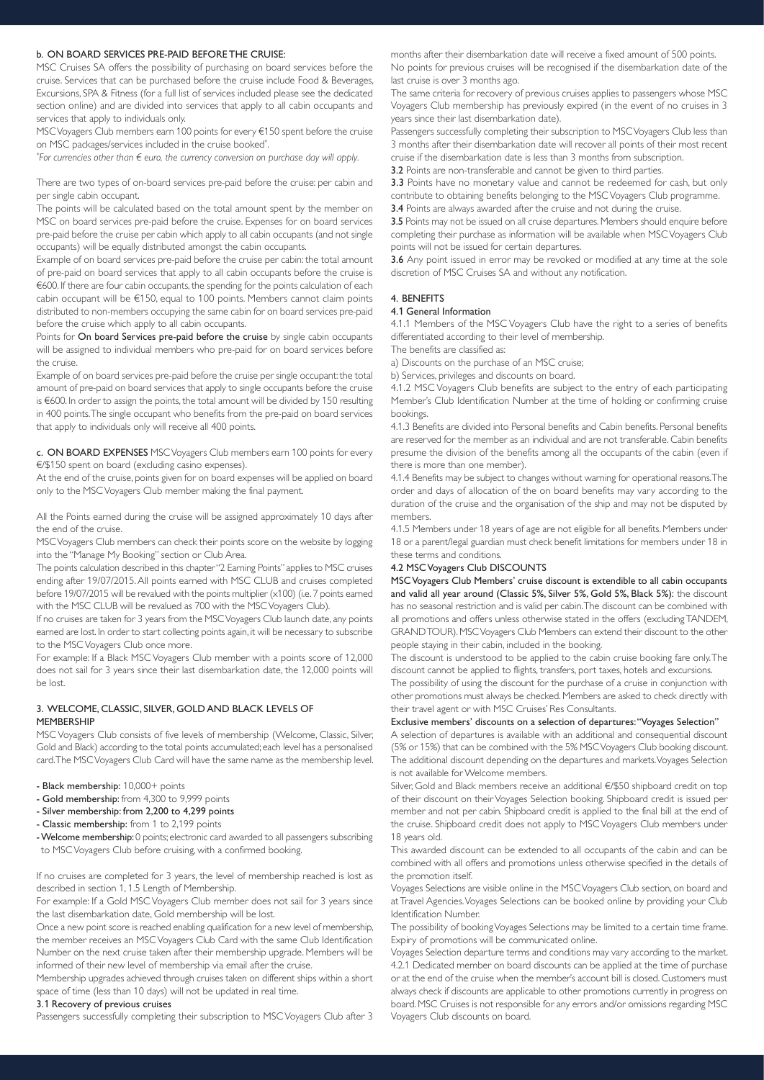## b. ON BOARD SERVICES PRE-PAID BEFORE THE CRUISE:

MSC Cruises SA offers the possibility of purchasing on board services before the cruise. Services that can be purchased before the cruise include Food & Beverages, Excursions, SPA & Fitness (for a full list of services included please see the dedicated section online) and are divided into services that apply to all cabin occupants and services that apply to individuals only.

MSC Voyagers Club members earn 100 points for every €150 spent before the cruise on MSC packages/services included in the cruise booked<sup>\*</sup>. .

*\* For currencies other than € euro, the currency conversion on purchase day will apply.*

There are two types of on-board services pre-paid before the cruise: per cabin and per single cabin occupant.

The points will be calculated based on the total amount spent by the member on MSC on board services pre-paid before the cruise. Expenses for on board services pre-paid before the cruise per cabin which apply to all cabin occupants (and not single occupants) will be equally distributed amongst the cabin occupants.

Example of on board services pre-paid before the cruise per cabin: the total amount of pre-paid on board services that apply to all cabin occupants before the cruise is €600. If there are four cabin occupants, the spending for the points calculation of each cabin occupant will be €150, equal to 100 points. Members cannot claim points distributed to non-members occupying the same cabin for on board services pre-paid before the cruise which apply to all cabin occupants.

Points for On board Services pre-paid before the cruise by single cabin occupants will be assigned to individual members who pre-paid for on board services before the cruise.

Example of on board services pre-paid before the cruise per single occupant: the total amount of pre-paid on board services that apply to single occupants before the cruise is €600. In order to assign the points, the total amount will be divided by 150 resulting in 400 points. The single occupant who benefits from the pre-paid on board services that apply to individuals only will receive all 400 points.

c. ON BOARD EXPENSES MSC Voyagers Club members earn 100 points for every €/\$150 spent on board (excluding casino expenses).

At the end of the cruise, points given for on board expenses will be applied on board only to the MSC Voyagers Club member making the final payment.

All the Points earned during the cruise will be assigned approximately 10 days after the end of the cruise.

MSC Voyagers Club members can check their points score on the website by logging into the "Manage My Booking" section or Club Area.

The points calculation described in this chapter "2 Earning Points" applies to MSC cruises ending after 19/07/2015. All points earned with MSC CLUB and cruises completed before 19/07/2015 will be revalued with the points multiplier (x100) (i.e. 7 points earned with the MSC CLUB will be revalued as 700 with the MSC Voyagers Club).

If no cruises are taken for 3 years from the MSC Voyagers Club launch date, any points earned are lost. In order to start collecting points again, it will be necessary to subscribe to the MSC Voyagers Club once more.

For example: If a Black MSC Voyagers Club member with a points score of 12,000 does not sail for 3 years since their last disembarkation date, the 12,000 points will be lost.

## 3. WELCOME, CLASSIC, SILVER, GOLD AND BLACK LEVELS OF MEMBERSHIP

MSC Voyagers Club consists of five levels of membership (Welcome, Classic, Silver, Gold and Black) according to the total points accumulated; each level has a personalised card. The MSC Voyagers Club Card will have the same name as the membership level.

- Black membership: 10,000+ points
- Gold membership: from 4,300 to 9,999 points
- Silver membership: from 2,200 to 4,299 points
- Classic membership: from 1 to 2,199 points
- Welcome membership: 0 points; electronic card awarded to all passengers subscribing to MSC Voyagers Club before cruising, with a confirmed booking.

If no cruises are completed for 3 years, the level of membership reached is lost as described in section 1, 1.5 Length of Membership.

For example: If a Gold MSC Voyagers Club member does not sail for 3 years since the last disembarkation date, Gold membership will be lost.

Once a new point score is reached enabling qualification for a new level of membership, the member receives an MSC Voyagers Club Card with the same Club Identification Number on the next cruise taken after their membership upgrade. Members will be informed of their new level of membership via email after the cruise.

Membership upgrades achieved through cruises taken on different ships within a short space of time (less than 10 days) will not be updated in real time.

#### 3.1 Recovery of previous cruises

Passengers successfully completing their subscription to MSC Voyagers Club after 3

months after their disembarkation date will receive a fixed amount of 500 points.

No points for previous cruises will be recognised if the disembarkation date of the last cruise is over 3 months ago.

The same criteria for recovery of previous cruises applies to passengers whose MSC Voyagers Club membership has previously expired (in the event of no cruises in 3 years since their last disembarkation date).

Passengers successfully completing their subscription to MSC Voyagers Club less than 3 months after their disembarkation date will recover all points of their most recent cruise if the disembarkation date is less than 3 months from subscription.

3.2 Points are non-transferable and cannot be given to third parties.

3.3 Points have no monetary value and cannot be redeemed for cash, but only contribute to obtaining benefits belonging to the MSC Voyagers Club programme.

3.4 Points are always awarded after the cruise and not during the cruise.

3.5 Points may not be issued on all cruise departures. Members should enquire before completing their purchase as information will be available when MSC Voyagers Club points will not be issued for certain departures.

3.6 Any point issued in error may be revoked or modified at any time at the sole discretion of MSC Cruises SA and without any notification.

#### 4. BENEFITS

#### 4.1 General Information

4.1.1 Members of the MSC Voyagers Club have the right to a series of benefits differentiated according to their level of membership.

The benefits are classified as:

a) Discounts on the purchase of an MSC cruise;

b) Services, privileges and discounts on board.

4.1.2 MSC Voyagers Club benefits are subject to the entry of each participating Member's Club Identification Number at the time of holding or confirming cruise bookings.

4.1.3 Benefits are divided into Personal benefits and Cabin benefits. Personal benefits are reserved for the member as an individual and are not transferable. Cabin benefits presume the division of the benefits among all the occupants of the cabin (even if there is more than one member).

4.1.4 Benefits may be subject to changes without warning for operational reasons. The order and days of allocation of the on board benefits may vary according to the duration of the cruise and the organisation of the ship and may not be disputed by members.

4.1.5 Members under 18 years of age are not eligible for all benefits. Members under 18 or a parent/legal guardian must check benefit limitations for members under 18 in these terms and conditions.

## 4.2 MSC Voyagers Club DISCOUNTS

MSC Voyagers Club Members' cruise discount is extendible to all cabin occupants and valid all year around (Classic 5%, Silver 5%, Gold 5%, Black 5%): the discount has no seasonal restriction and is valid per cabin. The discount can be combined with all promotions and offers unless otherwise stated in the offers (excluding TANDEM, GRAND TOUR). MSC Voyagers Club Members can extend their discount to the other people staying in their cabin, included in the booking.

The discount is understood to be applied to the cabin cruise booking fare only. The discount cannot be applied to flights, transfers, port taxes, hotels and excursions.

The possibility of using the discount for the purchase of a cruise in conjunction with other promotions must always be checked. Members are asked to check directly with their travel agent or with MSC Cruises' Res Consultants.

## Exclusive members' discounts on a selection of departures: "Voyages Selection"

A selection of departures is available with an additional and consequential discount (5% or 15%) that can be combined with the 5% MSC Voyagers Club booking discount. The additional discount depending on the departures and markets. Voyages Selection is not available for Welcome members.

Silver, Gold and Black members receive an additional €/\$50 shipboard credit on top of their discount on their Voyages Selection booking. Shipboard credit is issued per member and not per cabin. Shipboard credit is applied to the final bill at the end of the cruise. Shipboard credit does not apply to MSC Voyagers Club members under 18 years old.

This awarded discount can be extended to all occupants of the cabin and can be combined with all offers and promotions unless otherwise specified in the details of the promotion itself.

Voyages Selections are visible online in the MSC Voyagers Club section, on board and at Travel Agencies. Voyages Selections can be booked online by providing your Club Identification Number.

The possibility of booking Voyages Selections may be limited to a certain time frame. Expiry of promotions will be communicated online.

Voyages Selection departure terms and conditions may vary according to the market. 4.2.1 Dedicated member on board discounts can be applied at the time of purchase or at the end of the cruise when the member's account bill is closed. Customers must always check if discounts are applicable to other promotions currently in progress on board. MSC Cruises is not responsible for any errors and/or omissions regarding MSC Voyagers Club discounts on board.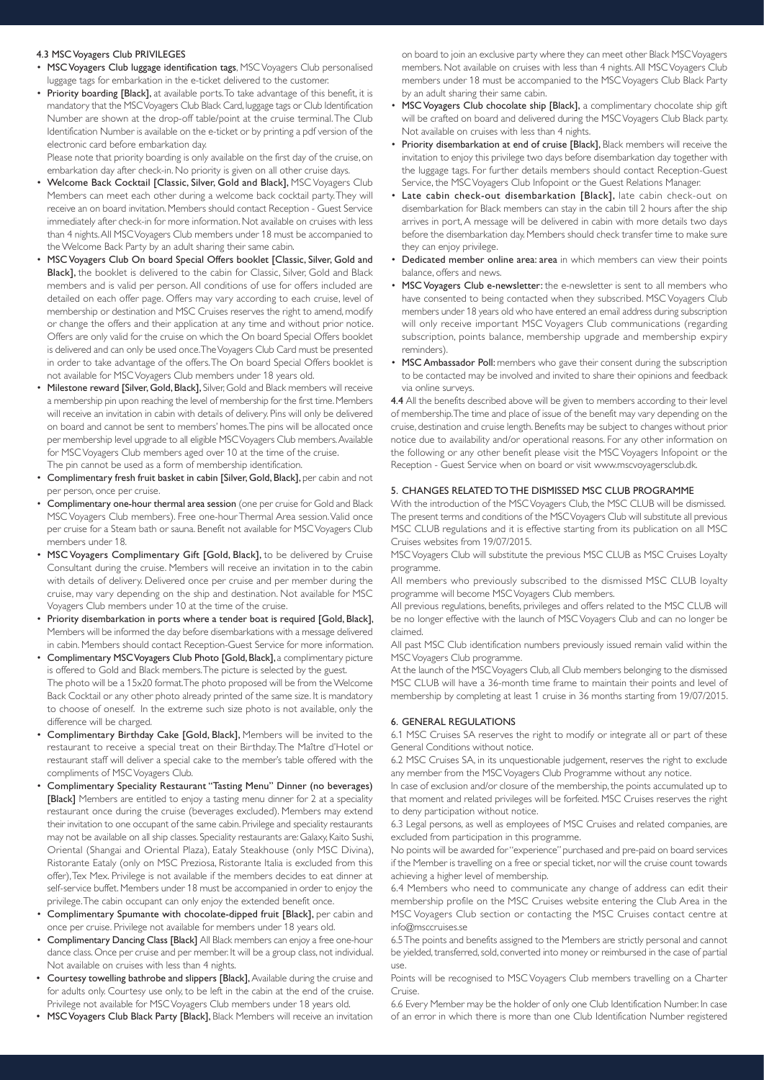### 4.3 MSC Voyagers Club PRIVILEGES

- MSC Voyagers Club luggage identification tags, MSC Voyagers Club personalised luggage tags for embarkation in the e-ticket delivered to the customer.
- Priority boarding [Black], at available ports. To take advantage of this benefit, it is mandatory that the MSC Voyagers Club Black Card, luggage tags or Club Identification Number are shown at the drop-off table/point at the cruise terminal. The Club Identification Number is available on the e-ticket or by printing a pdf version of the electronic card before embarkation day.

Please note that priority boarding is only available on the first day of the cruise, on embarkation day after check-in. No priority is given on all other cruise days.

- Welcome Back Cocktail [Classic, Silver, Gold and Black], MSC Voyagers Club Members can meet each other during a welcome back cocktail party. They will receive an on board invitation. Members should contact Reception - Guest Service immediately after check-in for more information. Not available on cruises with less than 4 nights. All MSC Voyagers Club members under 18 must be accompanied to the Welcome Back Party by an adult sharing their same cabin.
- MSC Voyagers Club On board Special Offers booklet [Classic, Silver, Gold and Black], the booklet is delivered to the cabin for Classic, Silver, Gold and Black members and is valid per person. All conditions of use for offers included are detailed on each offer page. Offers may vary according to each cruise, level of membership or destination and MSC Cruises reserves the right to amend, modify or change the offers and their application at any time and without prior notice. Offers are only valid for the cruise on which the On board Special Offers booklet is delivered and can only be used once. The Voyagers Club Card must be presented in order to take advantage of the offers. The On board Special Offers booklet is not available for MSC Voyagers Club members under 18 years old.
- Milestone reward [Silver, Gold, Black], Silver, Gold and Black members will receive a membership pin upon reaching the level of membership for the first time. Members will receive an invitation in cabin with details of delivery. Pins will only be delivered on board and cannot be sent to members' homes. The pins will be allocated once per membership level upgrade to all eligible MSC Voyagers Club members. Available for MSC Voyagers Club members aged over 10 at the time of the cruise. The pin cannot be used as a form of membership identification.
- Complimentary fresh fruit basket in cabin [Silver, Gold, Black], per cabin and not per person, once per cruise.
- Complimentary one-hour thermal area session (one per cruise for Gold and Black MSC Voyagers Club members). Free one-hour Thermal Area session. Valid once per cruise for a Steam bath or sauna. Benefit not available for MSC Voyagers Club members under 18.
- MSC Voyagers Complimentary Gift [Gold, Black], to be delivered by Cruise Consultant during the cruise. Members will receive an invitation in to the cabin with details of delivery. Delivered once per cruise and per member during the cruise, may vary depending on the ship and destination. Not available for MSC Voyagers Club members under 10 at the time of the cruise.
- Priority disembarkation in ports where a tender boat is required [Gold, Black], Members will be informed the day before disembarkations with a message delivered in cabin. Members should contact Reception-Guest Service for more information.
- Complimentary MSC Voyagers Club Photo [Gold, Black], a complimentary picture is offered to Gold and Black members. The picture is selected by the guest. The photo will be a 15x20 format. The photo proposed will be from the Welcome Back Cocktail or any other photo already printed of the same size. It is mandatory to choose of oneself. In the extreme such size photo is not available, only the difference will be charged.
- Complimentary Birthday Cake [Gold, Black], Members will be invited to the restaurant to receive a special treat on their Birthday. The Maître d'Hotel or restaurant staff will deliver a special cake to the member's table offered with the compliments of MSC Voyagers Club.
- Complimentary Speciality Restaurant "Tasting Menu" Dinner (no beverages) [Black] Members are entitled to enjoy a tasting menu dinner for 2 at a speciality restaurant once during the cruise (beverages excluded). Members may extend their invitation to one occupant of the same cabin. Privilege and speciality restaurants may not be available on all ship classes. Speciality restaurants are: Galaxy, Kaito Sushi, Oriental (Shangai and Oriental Plaza), Eataly Steakhouse (only MSC Divina), Ristorante Eataly (only on MSC Preziosa, Ristorante Italia is excluded from this offer), Tex Mex. Privilege is not available if the members decides to eat dinner at self-service buffet. Members under 18 must be accompanied in order to enjoy the privilege. The cabin occupant can only enjoy the extended benefit once.
- Complimentary Spumante with chocolate-dipped fruit [Black], per cabin and once per cruise. Privilege not available for members under 18 years old.
- Complimentary Dancing Class [Black] All Black members can enjoy a free one-hour dance class. Once per cruise and per member. It will be a group class, not individual. Not available on cruises with less than 4 nights.
- Courtesy towelling bathrobe and slippers [Black], Available during the cruise and for adults only. Courtesy use only, to be left in the cabin at the end of the cruise. Privilege not available for MSC Voyagers Club members under 18 years old.
- MSC Voyagers Club Black Party [Black], Black Members will receive an invitation

on board to join an exclusive party where they can meet other Black MSC Voyagers members. Not available on cruises with less than 4 nights. All MSC Voyagers Club members under 18 must be accompanied to the MSC Voyagers Club Black Party by an adult sharing their same cabin.

- MSC Voyagers Club chocolate ship [Black], a complimentary chocolate ship gift will be crafted on board and delivered during the MSC Voyagers Club Black party. Not available on cruises with less than 4 nights.
- Priority disembarkation at end of cruise [Black], Black members will receive the invitation to enjoy this privilege two days before disembarkation day together with the luggage tags. For further details members should contact Reception-Guest Service, the MSC Voyagers Club Infopoint or the Guest Relations Manager.
- Late cabin check-out disembarkation [Black], late cabin check-out on disembarkation for Black members can stay in the cabin till 2 hours after the ship arrives in port, A message will be delivered in cabin with more details two days before the disembarkation day. Members should check transfer time to make sure they can enjoy privilege.
- Dedicated member online area: area in which members can view their points balance, offers and news.
- MSC Voyagers Club e-newsletter: the e-newsletter is sent to all members who have consented to being contacted when they subscribed. MSC Voyagers Club members under 18 years old who have entered an email address during subscription will only receive important MSC Voyagers Club communications (regarding subscription, points balance, membership upgrade and membership expiry reminders).
- MSC Ambassador Poll: members who gave their consent during the subscription to be contacted may be involved and invited to share their opinions and feedback via online surveys.

4.4 All the benefits described above will be given to members according to their level of membership. The time and place of issue of the benefit may vary depending on the cruise, destination and cruise length. Benefits may be subject to changes without prior notice due to availability and/or operational reasons. For any other information on the following or any other benefit please visit the MSC Voyagers Infopoint or the Reception - Guest Service when on board or visit www.mscvoyagersclub.dk.

# 5. CHANGES RELATED TO THE DISMISSED MSC CLUB PROGRAMME

With the introduction of the MSC Voyagers Club, the MSC CLUB will be dismissed. The present terms and conditions of the MSC Voyagers Club will substitute all previous MSC CLUB regulations and it is effective starting from its publication on all MSC Cruises websites from 19/07/2015.

MSC Voyagers Club will substitute the previous MSC CLUB as MSC Cruises Loyalty programme.

All members who previously subscribed to the dismissed MSC CLUB loyalty programme will become MSC Voyagers Club members.

All previous regulations, benefits, privileges and offers related to the MSC CLUB will be no longer effective with the launch of MSC Voyagers Club and can no longer be claimed.

All past MSC Club identification numbers previously issued remain valid within the MSC Voyagers Club programme.

At the launch of the MSC Voyagers Club, all Club members belonging to the dismissed MSC CLUB will have a 36-month time frame to maintain their points and level of membership by completing at least 1 cruise in 36 months starting from 19/07/2015.

## 6. GENERAL REGULATIONS

6.1 MSC Cruises SA reserves the right to modify or integrate all or part of these General Conditions without notice.

6.2 MSC Cruises SA, in its unquestionable judgement, reserves the right to exclude any member from the MSC Voyagers Club Programme without any notice.

In case of exclusion and/or closure of the membership, the points accumulated up to that moment and related privileges will be forfeited. MSC Cruises reserves the right to deny participation without notice.

6.3 Legal persons, as well as employees of MSC Cruises and related companies, are excluded from participation in this programme.

No points will be awarded for "experience" purchased and pre-paid on board services if the Member is travelling on a free or special ticket, nor will the cruise count towards achieving a higher level of membership.

6.4 Members who need to communicate any change of address can edit their membership profile on the MSC Cruises website entering the Club Area in the MSC Voyagers Club section or contacting the MSC Cruises contact centre at info@msccruises.se

6.5 The points and benefits assigned to the Members are strictly personal and cannot be yielded, transferred, sold, converted into money or reimbursed in the case of partial use.

Points will be recognised to MSC Voyagers Club members travelling on a Charter Cruise.

6.6 Every Member may be the holder of only one Club Identification Number. In case of an error in which there is more than one Club Identification Number registered